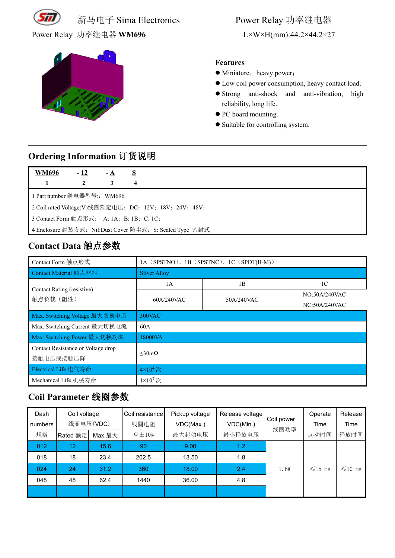

新马电子 Sima Electronics Power Relay 功率继电器

Power Relay 功率继电器 WM696 L×W×H(mm):44.2×44.2×27



#### **Features**

- $\bullet$  Miniature, heavy power;
- Low coil power consumption, heavy contact load.
- Strong anti-shock and anti-vibration, high reliability, long life.
- $\bullet$  PC board mounting.
- Suitable for controlling system.

#### **Ordering Information** 订货说明

| <u>WM69</u> 6                                          | $-12$                   | $-A$ | $\mathbf{S}$ |  |  |  |
|--------------------------------------------------------|-------------------------|------|--------------|--|--|--|
| $\sim$ 1                                               | $\overline{\mathbf{c}}$ | 3    | 4            |  |  |  |
| 1 Part number 继电器型号:: WM696                            |                         |      |              |  |  |  |
| 2 Coil rated Voltage(V)线圈额定电压: DC: 12V; 18V; 24V; 48V; |                         |      |              |  |  |  |

3 Contact Form 触点形式: A: 1A; B: 1B; C: 1C;

4 Enclosure 封装方式: Nil:Dust Cover 防尘式; S: Sealed Type 密封式

### **Contact Data** 触点参数

| Contact Form 触点形式                  | 1A (SPSTNO), 1B (SPSTNC), 1C (SPDT(B-M)) |            |                |  |  |  |
|------------------------------------|------------------------------------------|------------|----------------|--|--|--|
| Contact Material 触点材料              | <b>Silver Alloy</b>                      |            |                |  |  |  |
| Contact Rating (resistive)         | 1A                                       | 1B         | 1 <sup>C</sup> |  |  |  |
| 触点负载(阻性)                           | 60A/240VAC                               | 50A/240VAC | NO:50A/240VAC  |  |  |  |
|                                    |                                          |            | NC:50A/240VAC  |  |  |  |
| Max. Switching Voltage 最大切换电压      | 300VAC                                   |            |                |  |  |  |
| Max. Switching Current 最大切换电流      | 60A                                      |            |                |  |  |  |
| Max. Switching Power 最大切换功率        | 18000VA                                  |            |                |  |  |  |
| Contact Resistance or Voltage drop | $\leq 30 \text{m}\Omega$                 |            |                |  |  |  |
| 接触电压或接触压降                          |                                          |            |                |  |  |  |
| Electrical Life 电气寿命               | $4\times10^4$ 次                          |            |                |  |  |  |
| Mechanical Life 机械寿命               | $1\times10^7$ 次                          |            |                |  |  |  |

#### **Coil Parameter** 线圈参数

| Dash<br>numbers | Coil voltage<br>线圈电压(VDC) |        | Coil resistance<br>线圈电阻 | Pickup voltage<br>VDC(Max.) | Release voltage  <br>VDC(Min.) | Coil power | Operate<br>Time | Release<br>Time |
|-----------------|---------------------------|--------|-------------------------|-----------------------------|--------------------------------|------------|-----------------|-----------------|
| 规格              | Rated 额定                  | Max.最大 | $\Omega \pm 10\%$       | 最大起动电压                      | 最小释放电压                         | 线圈功率       | 起动时间            | 释放时间            |
| 012             | 12 <sup>2</sup>           | 15.6   | 90                      | 9.00                        | 1.2                            |            |                 |                 |
| 018             | 18                        | 23.4   | 202.5                   | 13.50                       | 1.8                            |            |                 |                 |
| 024             | 24                        | 31.2   | 360                     | 18.00                       | 2.4                            | 1.6W       | $\leq 15$ ms    | $\leq 10$ ms    |
| 048             | 48                        | 62.4   | 1440                    | 36.00                       | 4.8                            |            |                 |                 |
|                 |                           |        |                         |                             |                                |            |                 |                 |